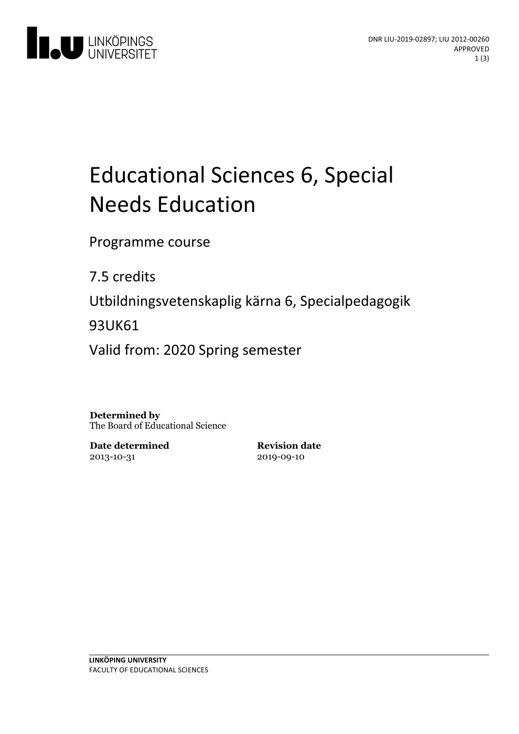

# Educational Sciences 6, Special **Needs Education**

Programme course

7.5 credits

Utbildningsvetenskaplig kärna 6, Specialpedagogik

93UK61

Valid from: 2020 Spring semester

**Determined by** The Board of Educational Science

**Date determined** 2013-10-31

**Revision date** 2019-09-10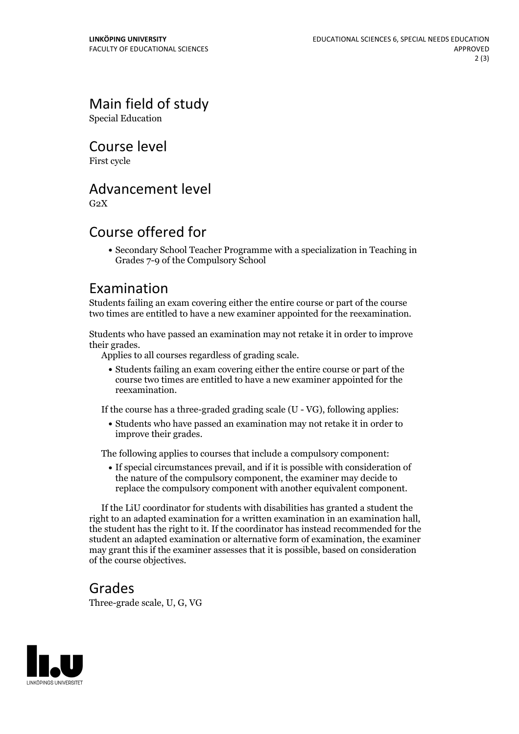## Main field of study

Special Education

Course level

First cycle

#### Advancement level

 $G<sub>2</sub>X$ 

#### Course offered for

Secondary School Teacher Programme with a specialization in Teaching in Grades 7-9 of the Compulsory School

#### Examination

Students failing an exam covering either the entire course or part of the course two times are entitled to have a new examiner appointed for the reexamination.

Students who have passed an examination may not retake it in order to improve their grades. Applies to all courses regardless of grading scale.

Students failing an exam covering either the entire course or part of the course two times are entitled to have a new examiner appointed for the reexamination.

If the course has a three-graded grading scale (U - VG), following applies:

Students who have passed an examination may not retake it in order to improve their grades.

The following applies to courses that include a compulsory component:

If special circumstances prevail, and if it is possible with consideration of the nature of the compulsory component, the examiner may decide to replace the compulsory component with another equivalent component.

If the LiU coordinator for students with disabilities has granted a student the right to an adapted examination for <sup>a</sup> written examination in an examination hall, the student has the right to it. If the coordinator has instead recommended for the student an adapted examination or alternative form of examination, the examiner may grant this if the examiner assesses that it is possible, based on consideration of the course objectives.

#### Grades

Three-grade scale, U, G, VG